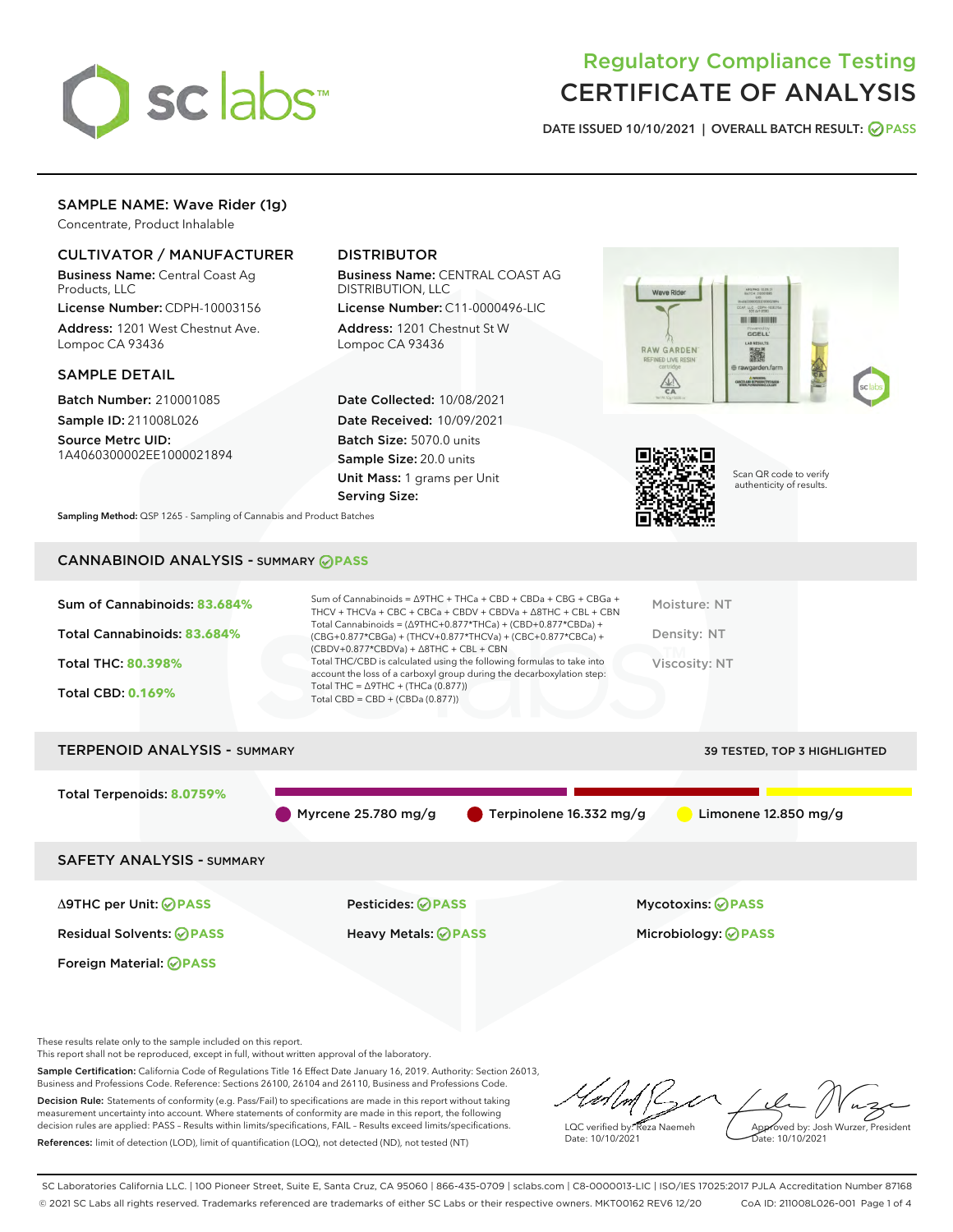

# Regulatory Compliance Testing CERTIFICATE OF ANALYSIS

DATE ISSUED 10/10/2021 | OVERALL BATCH RESULT: @ PASS

## SAMPLE NAME: Wave Rider (1g)

Concentrate, Product Inhalable

## CULTIVATOR / MANUFACTURER

Business Name: Central Coast Ag Products, LLC

License Number: CDPH-10003156 Address: 1201 West Chestnut Ave. Lompoc CA 93436

## SAMPLE DETAIL

Batch Number: 210001085 Sample ID: 211008L026

Source Metrc UID: 1A4060300002EE1000021894

## DISTRIBUTOR

Business Name: CENTRAL COAST AG DISTRIBUTION, LLC

License Number: C11-0000496-LIC Address: 1201 Chestnut St W Lompoc CA 93436

Date Collected: 10/08/2021 Date Received: 10/09/2021 Batch Size: 5070.0 units Sample Size: 20.0 units Unit Mass: 1 grams per Unit Serving Size:





Scan QR code to verify authenticity of results.

Sampling Method: QSP 1265 - Sampling of Cannabis and Product Batches

## CANNABINOID ANALYSIS - SUMMARY **PASS**

| Sum of Cannabinoids: 83.684%        | Sum of Cannabinoids = $\triangle$ 9THC + THCa + CBD + CBDa + CBG + CBGa +<br>THCV + THCVa + CBC + CBCa + CBDV + CBDVa + $\land$ 8THC + CBL + CBN                                     | Moisture: NT                 |
|-------------------------------------|--------------------------------------------------------------------------------------------------------------------------------------------------------------------------------------|------------------------------|
| Total Cannabinoids: 83.684%         | Total Cannabinoids = $(\Delta$ 9THC+0.877*THCa) + (CBD+0.877*CBDa) +<br>(CBG+0.877*CBGa) + (THCV+0.877*THCVa) + (CBC+0.877*CBCa) +<br>$(CBDV+0.877*CBDVa) + \Delta 8THC + CBL + CBN$ | Density: NT                  |
| <b>Total THC: 80.398%</b>           | Total THC/CBD is calculated using the following formulas to take into<br>account the loss of a carboxyl group during the decarboxylation step:                                       | Viscosity: NT                |
| <b>Total CBD: 0.169%</b>            | Total THC = $\triangle$ 9THC + (THCa (0.877))<br>Total CBD = $CBD + (CBDa (0.877))$                                                                                                  |                              |
| <b>TERPENOID ANALYSIS - SUMMARY</b> |                                                                                                                                                                                      | 39 TESTED, TOP 3 HIGHLIGHTED |

Total Terpenoids: **8.0759%** Myrcene 25.780 mg/g  $\bullet$  Terpinolene 16.332 mg/g  $\bullet$  Limonene 12.850 mg/g SAFETY ANALYSIS - SUMMARY

Foreign Material: **PASS**

Δ9THC per Unit: **PASS** Pesticides: **PASS** Mycotoxins: **PASS**

Residual Solvents: **PASS** Heavy Metals: **PASS** Microbiology: **PASS**

These results relate only to the sample included on this report.

This report shall not be reproduced, except in full, without written approval of the laboratory.

Sample Certification: California Code of Regulations Title 16 Effect Date January 16, 2019. Authority: Section 26013, Business and Professions Code. Reference: Sections 26100, 26104 and 26110, Business and Professions Code. Decision Rule: Statements of conformity (e.g. Pass/Fail) to specifications are made in this report without taking

measurement uncertainty into account. Where statements of conformity are made in this report, the following decision rules are applied: PASS – Results within limits/specifications, FAIL – Results exceed limits/specifications. References: limit of detection (LOD), limit of quantification (LOQ), not detected (ND), not tested (NT)

LQC verified by: Reza Naemeh Date: 10/10/2021 Approved by: Josh Wurzer, President Date: 10/10/2021

SC Laboratories California LLC. | 100 Pioneer Street, Suite E, Santa Cruz, CA 95060 | 866-435-0709 | sclabs.com | C8-0000013-LIC | ISO/IES 17025:2017 PJLA Accreditation Number 87168 © 2021 SC Labs all rights reserved. Trademarks referenced are trademarks of either SC Labs or their respective owners. MKT00162 REV6 12/20 CoA ID: 211008L026-001 Page 1 of 4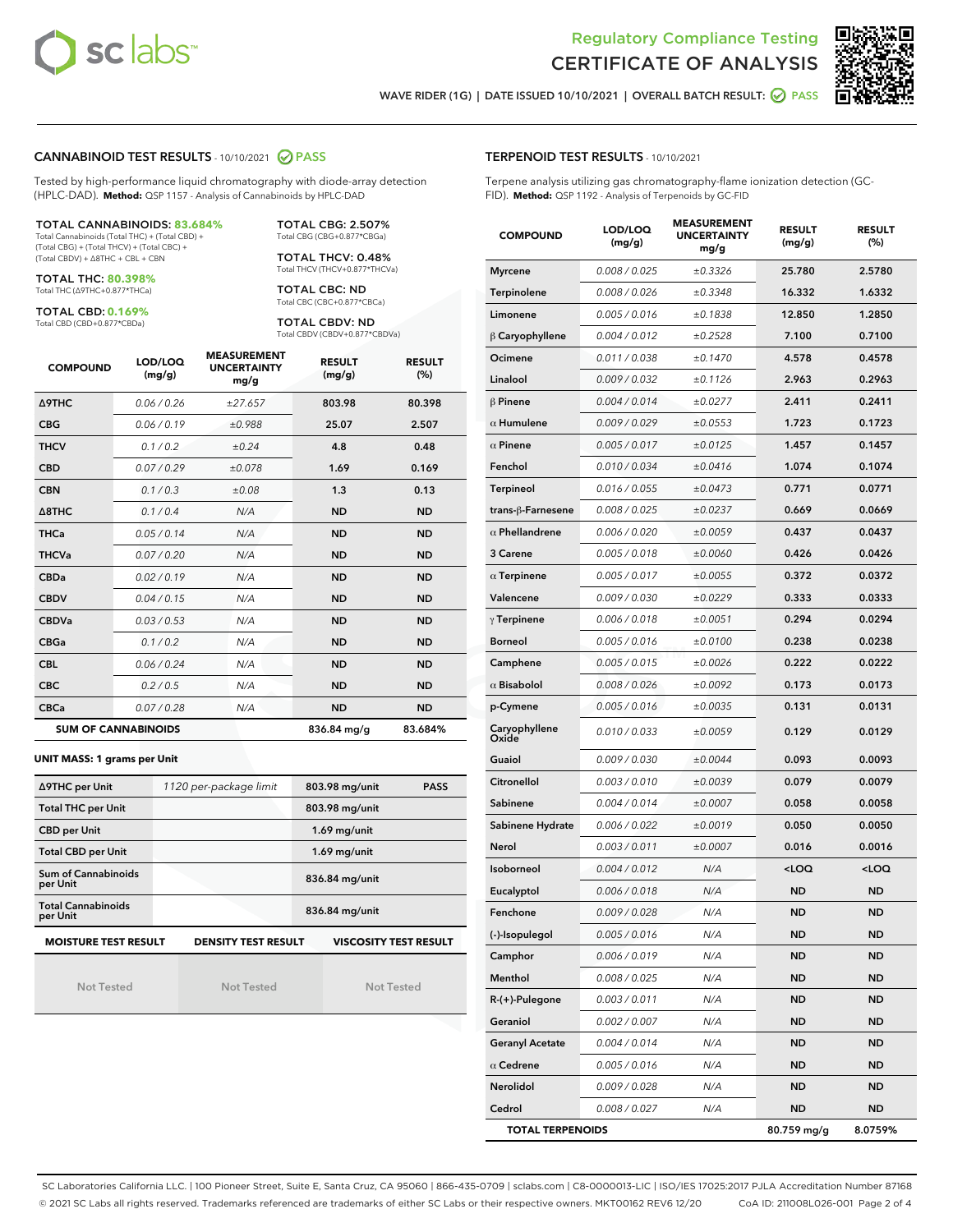



WAVE RIDER (1G) | DATE ISSUED 10/10/2021 | OVERALL BATCH RESULT: @ PASS

## CANNABINOID TEST RESULTS - 10/10/2021 2 PASS

Tested by high-performance liquid chromatography with diode-array detection (HPLC-DAD). **Method:** QSP 1157 - Analysis of Cannabinoids by HPLC-DAD

#### TOTAL CANNABINOIDS: **83.684%**

Total Cannabinoids (Total THC) + (Total CBD) + (Total CBG) + (Total THCV) + (Total CBC) + (Total CBDV) + ∆8THC + CBL + CBN

TOTAL THC: **80.398%** Total THC (∆9THC+0.877\*THCa)

TOTAL CBD: **0.169%**

Total CBD (CBD+0.877\*CBDa)

TOTAL CBG: 2.507% Total CBG (CBG+0.877\*CBGa)

TOTAL THCV: 0.48% Total THCV (THCV+0.877\*THCVa)

TOTAL CBC: ND Total CBC (CBC+0.877\*CBCa)

TOTAL CBDV: ND Total CBDV (CBDV+0.877\*CBDVa)

| <b>COMPOUND</b>            | LOD/LOQ<br>(mg/g) | <b>MEASUREMENT</b><br><b>UNCERTAINTY</b><br>mg/g | <b>RESULT</b><br>(mg/g) | <b>RESULT</b><br>(%) |
|----------------------------|-------------------|--------------------------------------------------|-------------------------|----------------------|
| Δ9THC                      | 0.06 / 0.26       | ±27.657                                          | 803.98                  | 80.398               |
| <b>CBG</b>                 | 0.06/0.19         | ±0.988                                           | 25.07                   | 2.507                |
| <b>THCV</b>                | 0.1/0.2           | ±0.24                                            | 4.8                     | 0.48                 |
| <b>CBD</b>                 | 0.07/0.29         | ±0.078                                           | 1.69                    | 0.169                |
| <b>CBN</b>                 | 0.1 / 0.3         | ±0.08                                            | 1.3                     | 0.13                 |
| $\triangle$ 8THC           | 0.1/0.4           | N/A                                              | <b>ND</b>               | <b>ND</b>            |
| <b>THCa</b>                | 0.05/0.14         | N/A                                              | <b>ND</b>               | <b>ND</b>            |
| <b>THCVa</b>               | 0.07/0.20         | N/A                                              | <b>ND</b>               | <b>ND</b>            |
| <b>CBDa</b>                | 0.02/0.19         | N/A                                              | <b>ND</b>               | <b>ND</b>            |
| <b>CBDV</b>                | 0.04 / 0.15       | N/A                                              | <b>ND</b>               | <b>ND</b>            |
| <b>CBDVa</b>               | 0.03/0.53         | N/A                                              | <b>ND</b>               | <b>ND</b>            |
| <b>CBGa</b>                | 0.1/0.2           | N/A                                              | <b>ND</b>               | <b>ND</b>            |
| <b>CBL</b>                 | 0.06 / 0.24       | N/A                                              | <b>ND</b>               | <b>ND</b>            |
| <b>CBC</b>                 | 0.2 / 0.5         | N/A                                              | <b>ND</b>               | <b>ND</b>            |
| <b>CBCa</b>                | 0.07 / 0.28       | N/A                                              | <b>ND</b>               | <b>ND</b>            |
| <b>SUM OF CANNABINOIDS</b> |                   |                                                  | 836.84 mg/g             | 83.684%              |

**UNIT MASS: 1 grams per Unit**

| ∆9THC per Unit                        | 1120 per-package limit                                                                    | 803.98 mg/unit<br><b>PASS</b> |  |  |  |  |
|---------------------------------------|-------------------------------------------------------------------------------------------|-------------------------------|--|--|--|--|
| <b>Total THC per Unit</b>             |                                                                                           | 803.98 mg/unit                |  |  |  |  |
| <b>CBD per Unit</b>                   |                                                                                           | $1.69$ mg/unit                |  |  |  |  |
| <b>Total CBD per Unit</b>             |                                                                                           | $1.69$ mg/unit                |  |  |  |  |
| Sum of Cannabinoids<br>per Unit       |                                                                                           | 836.84 mg/unit                |  |  |  |  |
| <b>Total Cannabinoids</b><br>per Unit |                                                                                           | 836.84 mg/unit                |  |  |  |  |
|                                       | <b>MOISTURE TEST RESULT</b><br><b>DENSITY TEST RESULT</b><br><b>VISCOSITY TEST RESULT</b> |                               |  |  |  |  |

Not Tested

| <b>Not Tested</b> |  |  |
|-------------------|--|--|

Not Tested

#### TERPENOID TEST RESULTS - 10/10/2021

Terpene analysis utilizing gas chromatography-flame ionization detection (GC-FID). **Method:** QSP 1192 - Analysis of Terpenoids by GC-FID

| <b>COMPOUND</b>         | LOD/LOQ<br>(mg/g) | <b>MEASUREMENT</b><br><b>UNCERTAINTY</b><br>mg/g | <b>RESULT</b><br>(mg/g)                         | <b>RESULT</b><br>(%) |
|-------------------------|-------------------|--------------------------------------------------|-------------------------------------------------|----------------------|
| <b>Myrcene</b>          | 0.008 / 0.025     | ±0.3326                                          | 25.780                                          | 2.5780               |
| Terpinolene             | 0.008 / 0.026     | ±0.3348                                          | 16.332                                          | 1.6332               |
| Limonene                | 0.005 / 0.016     | ±0.1838                                          | 12.850                                          | 1.2850               |
| $\beta$ Caryophyllene   | 0.004 / 0.012     | ±0.2528                                          | 7.100                                           | 0.7100               |
| Ocimene                 | 0.011 / 0.038     | ±0.1470                                          | 4.578                                           | 0.4578               |
| Linalool                | 0.009 / 0.032     | ±0.1126                                          | 2.963                                           | 0.2963               |
| $\beta$ Pinene          | 0.004 / 0.014     | ±0.0277                                          | 2.411                                           | 0.2411               |
| $\alpha$ Humulene       | 0.009 / 0.029     | ±0.0553                                          | 1.723                                           | 0.1723               |
| $\alpha$ Pinene         | 0.005 / 0.017     | ±0.0125                                          | 1.457                                           | 0.1457               |
| Fenchol                 | 0.010 / 0.034     | ±0.0416                                          | 1.074                                           | 0.1074               |
| <b>Terpineol</b>        | 0.016 / 0.055     | ±0.0473                                          | 0.771                                           | 0.0771               |
| trans-ß-Farnesene       | 0.008 / 0.025     | ±0.0237                                          | 0.669                                           | 0.0669               |
| $\alpha$ Phellandrene   | 0.006 / 0.020     | ±0.0059                                          | 0.437                                           | 0.0437               |
| 3 Carene                | 0.005 / 0.018     | ±0.0060                                          | 0.426                                           | 0.0426               |
| $\alpha$ Terpinene      | 0.005 / 0.017     | ±0.0055                                          | 0.372                                           | 0.0372               |
| Valencene               | 0.009 / 0.030     | ±0.0229                                          | 0.333                                           | 0.0333               |
| $\gamma$ Terpinene      | 0.006 / 0.018     | ±0.0051                                          | 0.294                                           | 0.0294               |
| <b>Borneol</b>          | 0.005 / 0.016     | ±0.0100                                          | 0.238                                           | 0.0238               |
| Camphene                | 0.005 / 0.015     | ±0.0026                                          | 0.222                                           | 0.0222               |
| $\alpha$ Bisabolol      | 0.008 / 0.026     | ±0.0092                                          | 0.173                                           | 0.0173               |
| p-Cymene                | 0.005 / 0.016     | ±0.0035                                          | 0.131                                           | 0.0131               |
| Caryophyllene<br>Oxide  | 0.010 / 0.033     | ±0.0059                                          | 0.129                                           | 0.0129               |
| Guaiol                  | 0.009 / 0.030     | ±0.0044                                          | 0.093                                           | 0.0093               |
| Citronellol             | 0.003 / 0.010     | ±0.0039                                          | 0.079                                           | 0.0079               |
| Sabinene                | 0.004 / 0.014     | ±0.0007                                          | 0.058                                           | 0.0058               |
| Sabinene Hydrate        | 0.006 / 0.022     | ±0.0019                                          | 0.050                                           | 0.0050               |
| Nerol                   | 0.003 / 0.011     | ±0.0007                                          | 0.016                                           | 0.0016               |
| Isoborneol              | 0.004 / 0.012     | N/A                                              | <loq< th=""><th><loq< th=""></loq<></th></loq<> | <loq< th=""></loq<>  |
| Eucalyptol              | 0.006 / 0.018     | N/A                                              | ND                                              | <b>ND</b>            |
| Fenchone                | 0.009 / 0.028     | N/A                                              | <b>ND</b>                                       | <b>ND</b>            |
| (-)-Isopulegol          | 0.005 / 0.016     | N/A                                              | ND                                              | <b>ND</b>            |
| Camphor                 | 0.006 / 0.019     | N/A                                              | ND                                              | <b>ND</b>            |
| Menthol                 | 0.008 / 0.025     | N/A                                              | ND                                              | <b>ND</b>            |
| R-(+)-Pulegone          | 0.003 / 0.011     | N/A                                              | ND                                              | <b>ND</b>            |
| Geraniol                | 0.002 / 0.007     | N/A                                              | ND                                              | ND                   |
| <b>Geranyl Acetate</b>  | 0.004 / 0.014     | N/A                                              | ND                                              | ND                   |
| $\alpha$ Cedrene        | 0.005 / 0.016     | N/A                                              | ND                                              | <b>ND</b>            |
| Nerolidol               | 0.009 / 0.028     | N/A                                              | ND                                              | ND                   |
| Cedrol                  | 0.008 / 0.027     | N/A                                              | ND                                              | <b>ND</b>            |
| <b>TOTAL TERPENOIDS</b> |                   |                                                  | 80.759 mg/g                                     | 8.0759%              |

SC Laboratories California LLC. | 100 Pioneer Street, Suite E, Santa Cruz, CA 95060 | 866-435-0709 | sclabs.com | C8-0000013-LIC | ISO/IES 17025:2017 PJLA Accreditation Number 87168 © 2021 SC Labs all rights reserved. Trademarks referenced are trademarks of either SC Labs or their respective owners. MKT00162 REV6 12/20 CoA ID: 211008L026-001 Page 2 of 4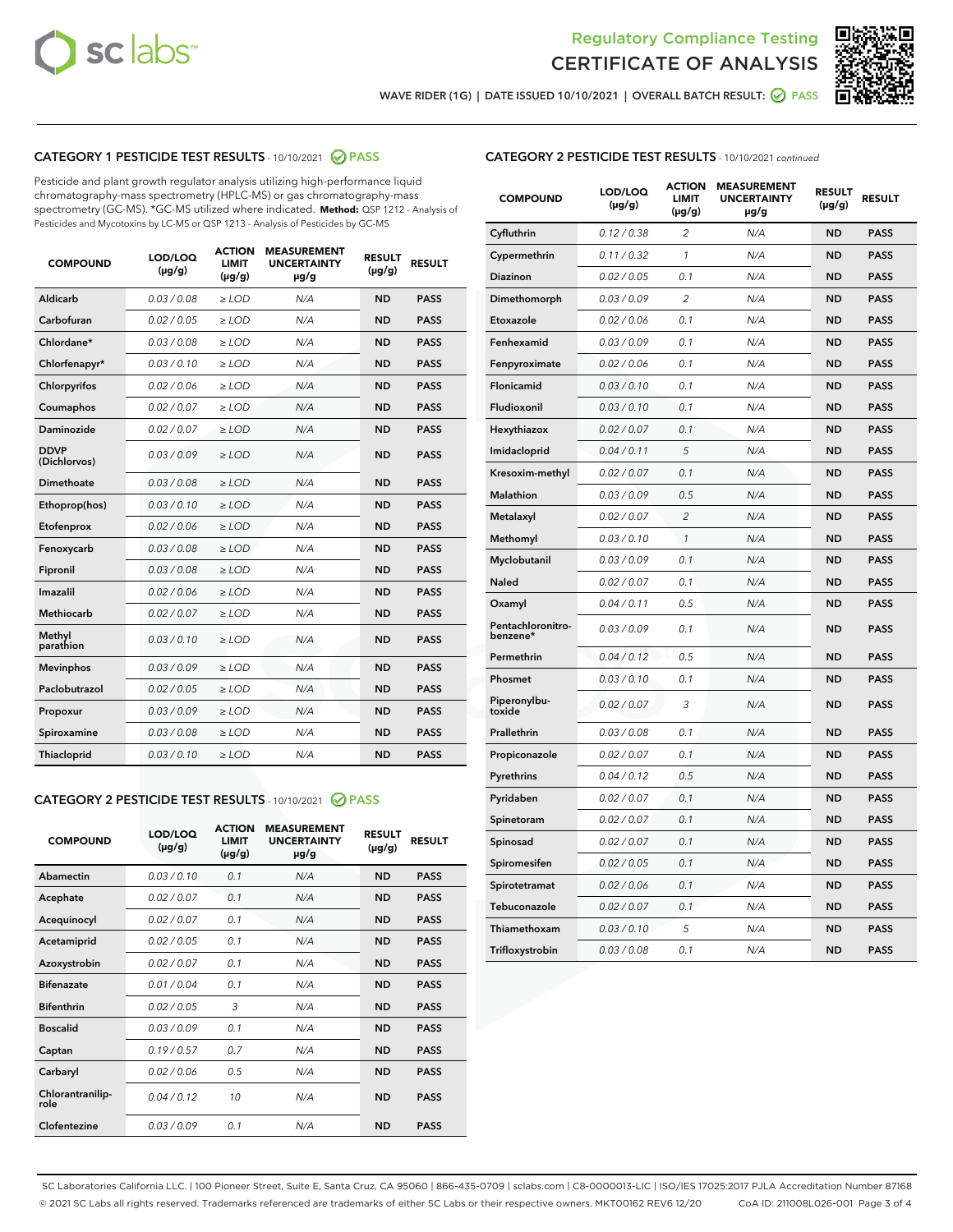



WAVE RIDER (1G) | DATE ISSUED 10/10/2021 | OVERALL BATCH RESULT: 2 PASS

## CATEGORY 1 PESTICIDE TEST RESULTS - 10/10/2021 2 PASS

Pesticide and plant growth regulator analysis utilizing high-performance liquid chromatography-mass spectrometry (HPLC-MS) or gas chromatography-mass spectrometry (GC-MS). \*GC-MS utilized where indicated. **Method:** QSP 1212 - Analysis of Pesticides and Mycotoxins by LC-MS or QSP 1213 - Analysis of Pesticides by GC-MS

| <b>COMPOUND</b>             | LOD/LOQ<br>$(\mu g/g)$ | <b>ACTION</b><br><b>LIMIT</b><br>$(\mu g/g)$ | <b>MEASUREMENT</b><br><b>UNCERTAINTY</b><br>$\mu$ g/g | <b>RESULT</b><br>$(\mu g/g)$ | <b>RESULT</b> |
|-----------------------------|------------------------|----------------------------------------------|-------------------------------------------------------|------------------------------|---------------|
| Aldicarb                    | 0.03/0.08              | $>$ LOD                                      | N/A                                                   | <b>ND</b>                    | <b>PASS</b>   |
| Carbofuran                  | 0.02 / 0.05            | $\ge$ LOD                                    | N/A                                                   | <b>ND</b>                    | <b>PASS</b>   |
| Chlordane*                  | 0.03/0.08              | $>$ LOD                                      | N/A                                                   | <b>ND</b>                    | <b>PASS</b>   |
| Chlorfenapyr*               | 0.03/0.10              | $\ge$ LOD                                    | N/A                                                   | <b>ND</b>                    | <b>PASS</b>   |
| Chlorpyrifos                | 0.02 / 0.06            | $\ge$ LOD                                    | N/A                                                   | <b>ND</b>                    | <b>PASS</b>   |
| Coumaphos                   | 0.02 / 0.07            | $\ge$ LOD                                    | N/A                                                   | <b>ND</b>                    | <b>PASS</b>   |
| Daminozide                  | 0.02 / 0.07            | $\ge$ LOD                                    | N/A                                                   | <b>ND</b>                    | <b>PASS</b>   |
| <b>DDVP</b><br>(Dichlorvos) | 0.03/0.09              | $\ge$ LOD                                    | N/A                                                   | <b>ND</b>                    | <b>PASS</b>   |
| <b>Dimethoate</b>           | 0.03/0.08              | $\ge$ LOD                                    | N/A                                                   | <b>ND</b>                    | <b>PASS</b>   |
| Ethoprop(hos)               | 0.03/0.10              | $\ge$ LOD                                    | N/A                                                   | <b>ND</b>                    | <b>PASS</b>   |
| Etofenprox                  | 0.02 / 0.06            | $\ge$ LOD                                    | N/A                                                   | <b>ND</b>                    | <b>PASS</b>   |
| Fenoxycarb                  | 0.03/0.08              | $\ge$ LOD                                    | N/A                                                   | <b>ND</b>                    | <b>PASS</b>   |
| Fipronil                    | 0.03/0.08              | $>$ LOD                                      | N/A                                                   | <b>ND</b>                    | <b>PASS</b>   |
| Imazalil                    | 0.02 / 0.06            | $>$ LOD                                      | N/A                                                   | <b>ND</b>                    | <b>PASS</b>   |
| Methiocarb                  | 0.02 / 0.07            | $\ge$ LOD                                    | N/A                                                   | <b>ND</b>                    | <b>PASS</b>   |
| Methyl<br>parathion         | 0.03/0.10              | $\ge$ LOD                                    | N/A                                                   | <b>ND</b>                    | <b>PASS</b>   |
| <b>Mevinphos</b>            | 0.03/0.09              | $\ge$ LOD                                    | N/A                                                   | <b>ND</b>                    | <b>PASS</b>   |
| Paclobutrazol               | 0.02 / 0.05            | $>$ LOD                                      | N/A                                                   | <b>ND</b>                    | <b>PASS</b>   |
| Propoxur                    | 0.03/0.09              | $\ge$ LOD                                    | N/A                                                   | <b>ND</b>                    | <b>PASS</b>   |
| Spiroxamine                 | 0.03 / 0.08            | $\ge$ LOD                                    | N/A                                                   | <b>ND</b>                    | <b>PASS</b>   |
| Thiacloprid                 | 0.03/0.10              | $\ge$ LOD                                    | N/A                                                   | <b>ND</b>                    | <b>PASS</b>   |

### CATEGORY 2 PESTICIDE TEST RESULTS - 10/10/2021 @ PASS

| <b>COMPOUND</b>          | LOD/LOQ<br>$(\mu g/g)$ | <b>ACTION</b><br>LIMIT<br>$(\mu g/g)$ | <b>MEASUREMENT</b><br><b>UNCERTAINTY</b><br>$\mu$ g/g | <b>RESULT</b><br>$(\mu g/g)$ | <b>RESULT</b> |  |
|--------------------------|------------------------|---------------------------------------|-------------------------------------------------------|------------------------------|---------------|--|
| Abamectin                | 0.03/0.10              | 0.1                                   | N/A                                                   | <b>ND</b>                    | <b>PASS</b>   |  |
| Acephate                 | 0.02/0.07              | 0.1                                   | N/A                                                   | <b>ND</b>                    | <b>PASS</b>   |  |
| Acequinocyl              | 0.02/0.07              | 0.1                                   | N/A                                                   | <b>ND</b>                    | <b>PASS</b>   |  |
| Acetamiprid              | 0.02/0.05              | 0.1                                   | N/A                                                   | <b>ND</b>                    | <b>PASS</b>   |  |
| Azoxystrobin             | 0.02/0.07              | 0.1                                   | N/A                                                   | <b>ND</b>                    | <b>PASS</b>   |  |
| <b>Bifenazate</b>        | 0.01/0.04              | 0.1                                   | N/A                                                   | <b>ND</b>                    | <b>PASS</b>   |  |
| <b>Bifenthrin</b>        | 0.02 / 0.05            | 3                                     | N/A                                                   | <b>ND</b>                    | <b>PASS</b>   |  |
| <b>Boscalid</b>          | 0.03/0.09              | 0.1                                   | N/A                                                   | <b>ND</b>                    | <b>PASS</b>   |  |
| Captan                   | 0.19/0.57              | 07                                    | N/A                                                   | <b>ND</b>                    | <b>PASS</b>   |  |
| Carbaryl                 | 0.02/0.06              | 0.5                                   | N/A                                                   | <b>ND</b>                    | <b>PASS</b>   |  |
| Chlorantranilip-<br>role | 0.04/0.12              | 10                                    | N/A                                                   | <b>ND</b>                    | <b>PASS</b>   |  |
| Clofentezine             | 0.03/0.09              | 0.1                                   | N/A                                                   | <b>ND</b>                    | <b>PASS</b>   |  |

## CATEGORY 2 PESTICIDE TEST RESULTS - 10/10/2021 continued

| <b>COMPOUND</b>               | LOD/LOQ<br>(µg/g) | <b>ACTION</b><br>LIMIT<br>$(\mu g/g)$ | <b>MEASUREMENT</b><br><b>UNCERTAINTY</b><br>µg/g | <b>RESULT</b><br>(µg/g) | <b>RESULT</b> |
|-------------------------------|-------------------|---------------------------------------|--------------------------------------------------|-------------------------|---------------|
| Cyfluthrin                    | 0.12 / 0.38       | 2                                     | N/A                                              | ND                      | <b>PASS</b>   |
| Cypermethrin                  | 0.11 / 0.32       | 1                                     | N/A                                              | ND                      | <b>PASS</b>   |
| Diazinon                      | 0.02 / 0.05       | 0.1                                   | N/A                                              | ND                      | <b>PASS</b>   |
| Dimethomorph                  | 0.03 / 0.09       | $\overline{2}$                        | N/A                                              | <b>ND</b>               | <b>PASS</b>   |
| Etoxazole                     | 0.02 / 0.06       | 0.1                                   | N/A                                              | ND                      | <b>PASS</b>   |
| Fenhexamid                    | 0.03 / 0.09       | 0.1                                   | N/A                                              | ND                      | <b>PASS</b>   |
| Fenpyroximate                 | 0.02 / 0.06       | 0.1                                   | N/A                                              | <b>ND</b>               | <b>PASS</b>   |
| Flonicamid                    | 0.03 / 0.10       | 0.1                                   | N/A                                              | <b>ND</b>               | <b>PASS</b>   |
| Fludioxonil                   | 0.03 / 0.10       | 0.1                                   | N/A                                              | <b>ND</b>               | <b>PASS</b>   |
| Hexythiazox                   | 0.02 / 0.07       | 0.1                                   | N/A                                              | <b>ND</b>               | <b>PASS</b>   |
| Imidacloprid                  | 0.04 / 0.11       | 5                                     | N/A                                              | <b>ND</b>               | <b>PASS</b>   |
| Kresoxim-methyl               | 0.02 / 0.07       | 0.1                                   | N/A                                              | ND                      | <b>PASS</b>   |
| Malathion                     | 0.03 / 0.09       | 0.5                                   | N/A                                              | <b>ND</b>               | <b>PASS</b>   |
| Metalaxyl                     | 0.02 / 0.07       | $\overline{c}$                        | N/A                                              | <b>ND</b>               | <b>PASS</b>   |
| Methomyl                      | 0.03 / 0.10       | 1                                     | N/A                                              | ND                      | <b>PASS</b>   |
| Myclobutanil                  | 0.03/0.09         | 0.1                                   | N/A                                              | <b>ND</b>               | <b>PASS</b>   |
| Naled                         | 0.02 / 0.07       | 0.1                                   | N/A                                              | ND                      | <b>PASS</b>   |
| Oxamyl                        | 0.04 / 0.11       | 0.5                                   | N/A                                              | ND                      | <b>PASS</b>   |
| Pentachloronitro-<br>benzene* | 0.03 / 0.09       | 0.1                                   | N/A                                              | ND                      | <b>PASS</b>   |
| Permethrin                    | 0.04/0.12         | 0.5                                   | N/A                                              | <b>ND</b>               | <b>PASS</b>   |
| Phosmet                       | 0.03 / 0.10       | 0.1                                   | N/A                                              | ND                      | <b>PASS</b>   |
| Piperonylbu-<br>toxide        | 0.02 / 0.07       | 3                                     | N/A                                              | <b>ND</b>               | <b>PASS</b>   |
| Prallethrin                   | 0.03 / 0.08       | 0.1                                   | N/A                                              | <b>ND</b>               | <b>PASS</b>   |
| Propiconazole                 | 0.02 / 0.07       | 0.1                                   | N/A                                              | ND                      | <b>PASS</b>   |
| Pyrethrins                    | 0.04 / 0.12       | 0.5                                   | N/A                                              | ND                      | <b>PASS</b>   |
| Pyridaben                     | 0.02 / 0.07       | 0.1                                   | N/A                                              | <b>ND</b>               | <b>PASS</b>   |
| Spinetoram                    | 0.02 / 0.07       | 0.1                                   | N/A                                              | ND                      | <b>PASS</b>   |
| Spinosad                      | 0.02 / 0.07       | 0.1                                   | N/A                                              | ND                      | <b>PASS</b>   |
| Spiromesifen                  | 0.02 / 0.05       | 0.1                                   | N/A                                              | <b>ND</b>               | <b>PASS</b>   |
| Spirotetramat                 | 0.02 / 0.06       | 0.1                                   | N/A                                              | ND                      | <b>PASS</b>   |
| Tebuconazole                  | 0.02 / 0.07       | 0.1                                   | N/A                                              | ND                      | <b>PASS</b>   |
| Thiamethoxam                  | 0.03 / 0.10       | 5                                     | N/A                                              | <b>ND</b>               | <b>PASS</b>   |
| Trifloxystrobin               | 0.03 / 0.08       | 0.1                                   | N/A                                              | <b>ND</b>               | <b>PASS</b>   |

SC Laboratories California LLC. | 100 Pioneer Street, Suite E, Santa Cruz, CA 95060 | 866-435-0709 | sclabs.com | C8-0000013-LIC | ISO/IES 17025:2017 PJLA Accreditation Number 87168 © 2021 SC Labs all rights reserved. Trademarks referenced are trademarks of either SC Labs or their respective owners. MKT00162 REV6 12/20 CoA ID: 211008L026-001 Page 3 of 4